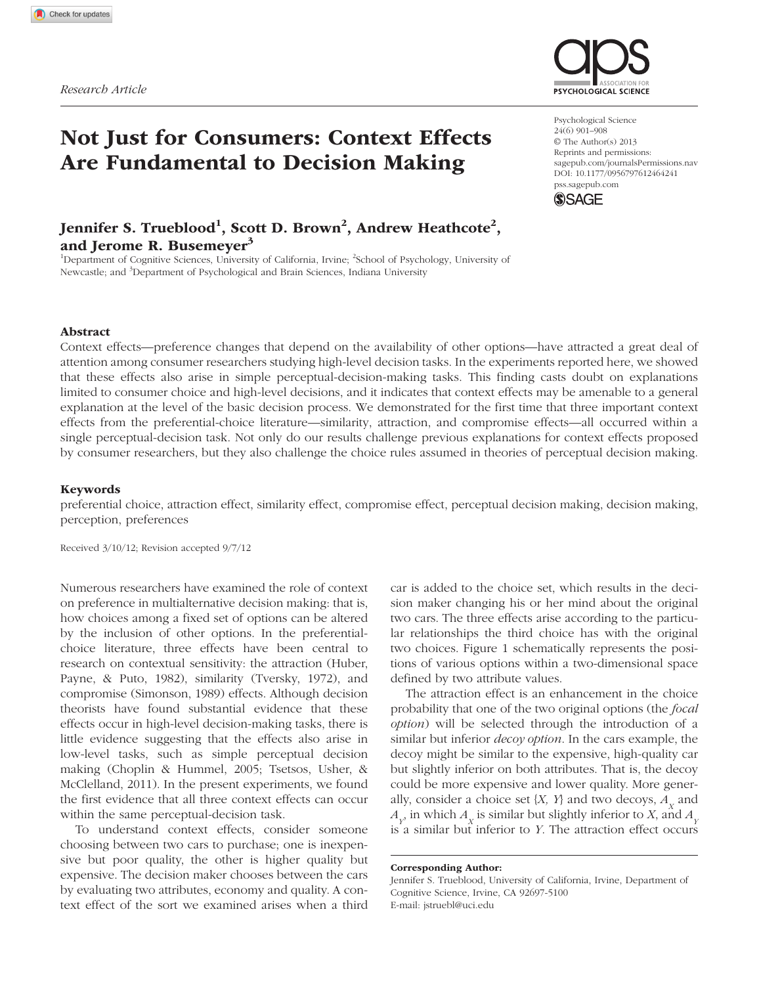*Research Article*

# Not Just for Consumers: Context Effects Are Fundamental to Decision Making



Psychological Science 24(6) 901–908 © The Author(s) 2013 Reprints and permissions: sagepub.com/journalsPermissions.nav DOI: 10.1177/0956797612464241 pss.sagepub.com



Jennifer S. Trueblood<sup>1</sup>, Scott D. Brown<sup>2</sup>, Andrew Heathcote<sup>2</sup>, and Jerome R. Busemeyer<sup>3</sup>

<sup>1</sup>Department of Cognitive Sciences, University of California, Irvine; <sup>2</sup>School of Psychology, University of Newcastle; and <sup>3</sup>Department of Psychological and Brain Sciences, Indiana University

#### Abstract

Context effects—preference changes that depend on the availability of other options—have attracted a great deal of attention among consumer researchers studying high-level decision tasks. In the experiments reported here, we showed that these effects also arise in simple perceptual-decision-making tasks. This finding casts doubt on explanations limited to consumer choice and high-level decisions, and it indicates that context effects may be amenable to a general explanation at the level of the basic decision process. We demonstrated for the first time that three important context effects from the preferential-choice literature—similarity, attraction, and compromise effects—all occurred within a single perceptual-decision task. Not only do our results challenge previous explanations for context effects proposed by consumer researchers, but they also challenge the choice rules assumed in theories of perceptual decision making.

#### Keywords

preferential choice, attraction effect, similarity effect, compromise effect, perceptual decision making, decision making, perception, preferences

Received 3/10/12; Revision accepted 9/7/12

Numerous researchers have examined the role of context on preference in multialternative decision making: that is, how choices among a fixed set of options can be altered by the inclusion of other options. In the preferentialchoice literature, three effects have been central to research on contextual sensitivity: the attraction (Huber, Payne, & Puto, 1982), similarity (Tversky, 1972), and compromise (Simonson, 1989) effects. Although decision theorists have found substantial evidence that these effects occur in high-level decision-making tasks, there is little evidence suggesting that the effects also arise in low-level tasks, such as simple perceptual decision making (Choplin & Hummel, 2005; Tsetsos, Usher, & McClelland, 2011). In the present experiments, we found the first evidence that all three context effects can occur within the same perceptual-decision task.

To understand context effects, consider someone choosing between two cars to purchase; one is inexpensive but poor quality, the other is higher quality but expensive. The decision maker chooses between the cars by evaluating two attributes, economy and quality. A context effect of the sort we examined arises when a third car is added to the choice set, which results in the decision maker changing his or her mind about the original two cars. The three effects arise according to the particular relationships the third choice has with the original two choices. Figure 1 schematically represents the positions of various options within a two-dimensional space defined by two attribute values.

The attraction effect is an enhancement in the choice probability that one of the two original options (the *focal option*) will be selected through the introduction of a similar but inferior *decoy option*. In the cars example, the decoy might be similar to the expensive, high-quality car but slightly inferior on both attributes. That is, the decoy could be more expensive and lower quality. More generally, consider a choice set  $\{X, Y\}$  and two decoys,  $A_X$  and  $A_Y$ , in which  $A_X$  is similar but slightly inferior to *X*, and  $A_Y$ is a similar but inferior to *Y*. The attraction effect occurs

#### Corresponding Author:

Jennifer S. Trueblood, University of California, Irvine, Department of Cognitive Science, Irvine, CA 92697-5100 E-mail: jstruebl@uci.edu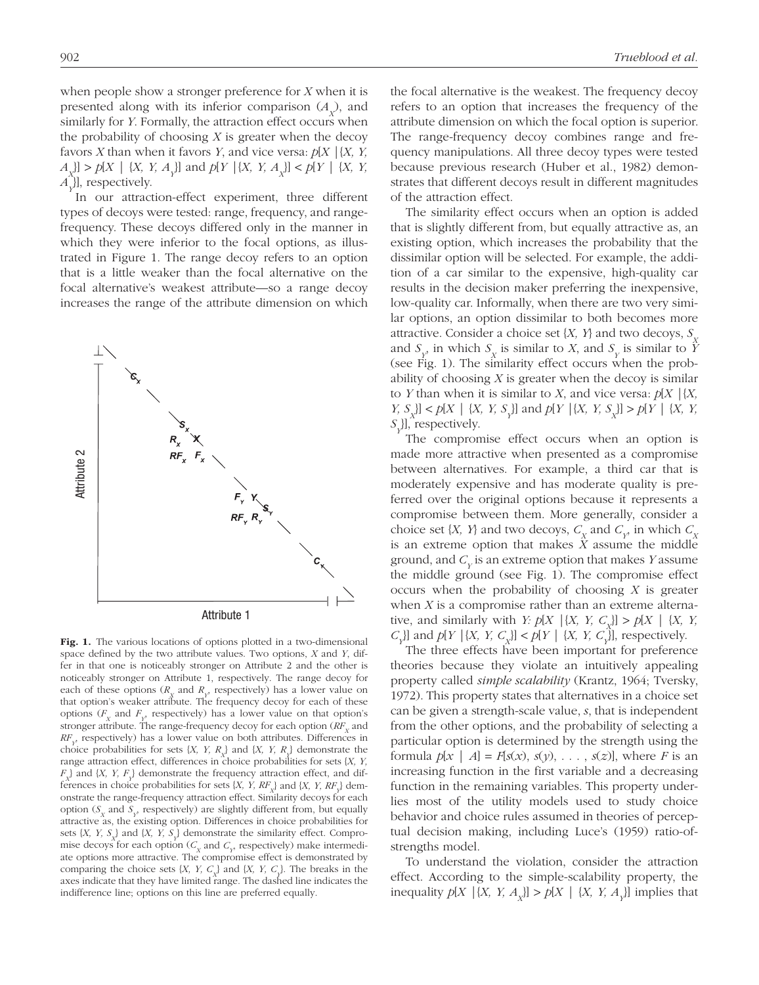when people show a stronger preference for *X* when it is presented along with its inferior comparison  $(A_x)$ , and similarly for *Y*. Formally, the attraction effect occurs when the probability of choosing *X* is greater when the decoy favors *X* than when it favors *Y*, and vice versa:  $p[X | \{X, Y\}$  $A_X$   $\left[ \sum_{X}$  > *p*[*X* | {*X, Y, A<sub>Y</sub>*} and *p*[*Y* | {*X, Y, A<sub>X</sub></sub>}] < <i>p*[*Y* | {*X, Y, A*<sub>*Y*</sub>}], respectively.

In our attraction-effect experiment, three different types of decoys were tested: range, frequency, and rangefrequency. These decoys differed only in the manner in which they were inferior to the focal options, as illustrated in Figure 1. The range decoy refers to an option that is a little weaker than the focal alternative on the focal alternative's weakest attribute—so a range decoy increases the range of the attribute dimension on which



Fig. 1. The various locations of options plotted in a two-dimensional space defined by the two attribute values. Two options, *X* and *Y*, differ in that one is noticeably stronger on Attribute 2 and the other is noticeably stronger on Attribute 1, respectively. The range decoy for each of these options  $(R_X \text{ and } R_Y \text{ respectively})$  has a lower value on that option's weaker attribute. The frequency decoy for each of these options  $(F_X \text{ and } F_Y)$  respectively) has a lower value on that option's stronger attribute. The range-frequency decoy for each option  $(RF<sub>X</sub>$  and  $R_{Y}$ <sup>*RF<sub>Y</sub>*</sub> respectively) has a lower value on both attributes. Differences in</sup> choice probabilities for sets  $\{X, Y, R_X\}$  and  $\{X, Y, R_Y\}$  demonstrate the range attraction effect, differences in choice probabilities for sets {*X, Y,*   $F_X$  and  $\{X, Y, F_Y\}$  demonstrate the frequency attraction effect, and differences in choice probabilities for sets  $\{X, Y, RF_X\}$  and  $\{X, Y, RF_Y\}$  demonstrate the range-frequency attraction effect. Similarity decoys for each option  $(S_x$  and  $S_y$ , respectively) are slightly different from, but equally attractive as, the existing option. Differences in choice probabilities for sets  $\{X, Y, S_X\}$  and  $\{X, Y, S_Y\}$  demonstrate the similarity effect. Compromise decoys for each option  $(C_x$  and  $C_y$  respectively) make intermediate options more attractive. The compromise effect is demonstrated by comparing the choice sets  $\{X, Y, C_X\}$  and  $\{X, Y, C_Y\}$ . The breaks in the axes indicate that they have limited range. The dashed line indicates the indifference line; options on this line are preferred equally.

the focal alternative is the weakest. The frequency decoy refers to an option that increases the frequency of the attribute dimension on which the focal option is superior. The range-frequency decoy combines range and frequency manipulations. All three decoy types were tested because previous research (Huber et al., 1982) demonstrates that different decoys result in different magnitudes of the attraction effect.

The similarity effect occurs when an option is added that is slightly different from, but equally attractive as, an existing option, which increases the probability that the dissimilar option will be selected. For example, the addition of a car similar to the expensive, high-quality car results in the decision maker preferring the inexpensive, low-quality car. Informally, when there are two very similar options, an option dissimilar to both becomes more attractive. Consider a choice set  $\{X, Y\}$  and two decoys,  $S_{\rm v}$ and  $S_Y$  in which  $S_X$  is similar to *X*, and  $S_Y$  is similar to *Y* (see Fig. 1). The similarity effect occurs when the probability of choosing *X* is greater when the decoy is similar to *Y* than when it is similar to *X*, and vice versa:  $p[X | \{X, Y\}$  $Y, S_X$   $\leq$   $p[X \mid \{X, Y, S_Y\}]$  and  $p[Y \mid \{X, Y, S_X\}]$  >  $p[Y \mid \{X, Y, S_Y\}]$ *SY* }], respectively.

The compromise effect occurs when an option is made more attractive when presented as a compromise between alternatives. For example, a third car that is moderately expensive and has moderate quality is preferred over the original options because it represents a compromise between them. More generally, consider a choice set {*X*, *Y*} and two decoys,  $C_x$  and  $C_y$ , in which  $C_x$ is an extreme option that makes  $\hat{X}$  assume the middle ground, and  $C_y$  is an extreme option that makes *Y* assume the middle ground (see Fig. 1). The compromise effect occurs when the probability of choosing *X* is greater when *X* is a compromise rather than an extreme alternative, and similarly with *Y: p*[*X* | {*X, Y, C<sub>x</sub>*] > *p*[*X* | {*X, Y,*  $C_Y$ ] and  $p[Y \mid \{X, Y, C_X\}] < p[Y \mid \{X, Y, C_Y\}]$ , respectively.

The three effects have been important for preference theories because they violate an intuitively appealing property called *simple scalability* (Krantz, 1964; Tversky, 1972). This property states that alternatives in a choice set can be given a strength-scale value, *s*, that is independent from the other options, and the probability of selecting a particular option is determined by the strength using the formula  $p[x \mid A] = F[s(x), s(y), \ldots, s(z)]$ , where *F* is an increasing function in the first variable and a decreasing function in the remaining variables. This property underlies most of the utility models used to study choice behavior and choice rules assumed in theories of perceptual decision making, including Luce's (1959) ratio-ofstrengths model.

To understand the violation, consider the attraction effect. According to the simple-scalability property, the inequality  $p[X \mid \{X, Y, A_X\}] > p[X \mid \{X, Y, A_Y\}]$  implies that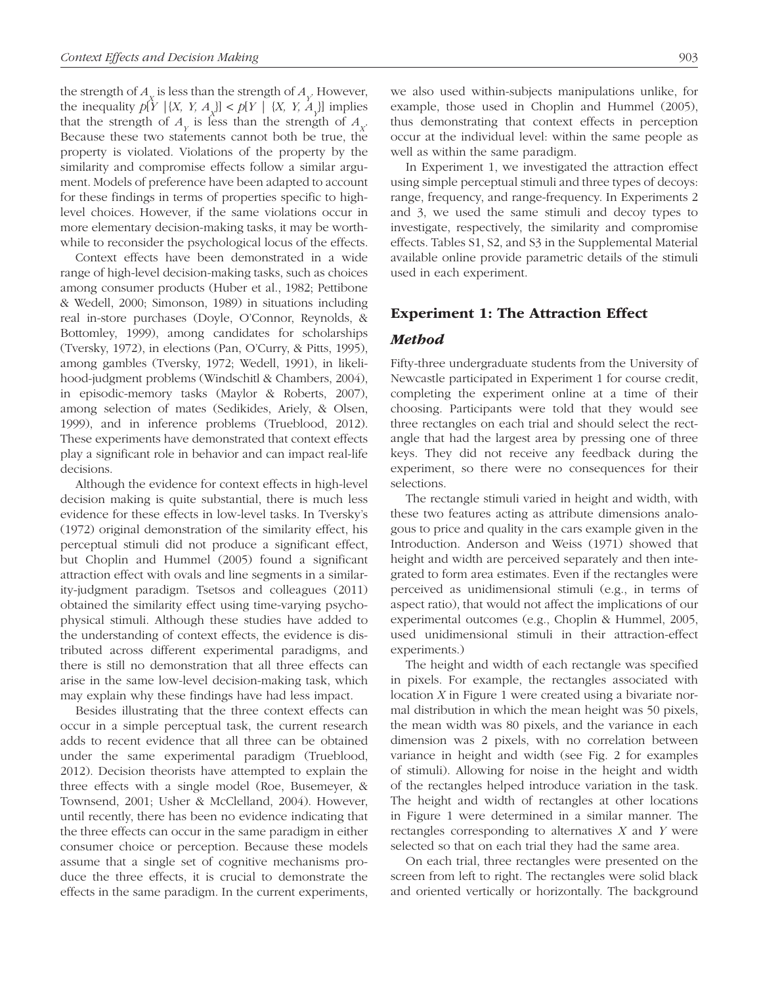the strength of  $A_X$  is less than the strength of  $A_Y$ . However, the inequality  $p[Y | \{X, Y, A_x\}] < p[Y | \{X, Y, A_y\}]$  implies that the strength of  $A_Y$  is less than the strength of  $A_X$ . Because these two statements cannot both be true, the property is violated. Violations of the property by the similarity and compromise effects follow a similar argument. Models of preference have been adapted to account for these findings in terms of properties specific to highlevel choices. However, if the same violations occur in more elementary decision-making tasks, it may be worthwhile to reconsider the psychological locus of the effects.

Context effects have been demonstrated in a wide range of high-level decision-making tasks, such as choices among consumer products (Huber et al., 1982; Pettibone & Wedell, 2000; Simonson, 1989) in situations including real in-store purchases (Doyle, O'Connor, Reynolds, & Bottomley, 1999), among candidates for scholarships (Tversky, 1972), in elections (Pan, O'Curry, & Pitts, 1995), among gambles (Tversky, 1972; Wedell, 1991), in likelihood-judgment problems (Windschitl & Chambers, 2004), in episodic-memory tasks (Maylor & Roberts, 2007), among selection of mates (Sedikides, Ariely, & Olsen, 1999), and in inference problems (Trueblood, 2012). These experiments have demonstrated that context effects play a significant role in behavior and can impact real-life decisions.

Although the evidence for context effects in high-level decision making is quite substantial, there is much less evidence for these effects in low-level tasks. In Tversky's (1972) original demonstration of the similarity effect, his perceptual stimuli did not produce a significant effect, but Choplin and Hummel (2005) found a significant attraction effect with ovals and line segments in a similarity-judgment paradigm. Tsetsos and colleagues (2011) obtained the similarity effect using time-varying psychophysical stimuli. Although these studies have added to the understanding of context effects, the evidence is distributed across different experimental paradigms, and there is still no demonstration that all three effects can arise in the same low-level decision-making task, which may explain why these findings have had less impact.

Besides illustrating that the three context effects can occur in a simple perceptual task, the current research adds to recent evidence that all three can be obtained under the same experimental paradigm (Trueblood, 2012). Decision theorists have attempted to explain the three effects with a single model (Roe, Busemeyer, & Townsend, 2001; Usher & McClelland, 2004). However, until recently, there has been no evidence indicating that the three effects can occur in the same paradigm in either consumer choice or perception. Because these models assume that a single set of cognitive mechanisms produce the three effects, it is crucial to demonstrate the effects in the same paradigm. In the current experiments, we also used within-subjects manipulations unlike, for example, those used in Choplin and Hummel (2005), thus demonstrating that context effects in perception occur at the individual level: within the same people as well as within the same paradigm.

In Experiment 1, we investigated the attraction effect using simple perceptual stimuli and three types of decoys: range, frequency, and range-frequency. In Experiments 2 and 3, we used the same stimuli and decoy types to investigate, respectively, the similarity and compromise effects. Tables S1, S2, and S3 in the Supplemental Material available online provide parametric details of the stimuli used in each experiment.

# Experiment 1: The Attraction Effect

#### *Method*

Fifty-three undergraduate students from the University of Newcastle participated in Experiment 1 for course credit, completing the experiment online at a time of their choosing. Participants were told that they would see three rectangles on each trial and should select the rectangle that had the largest area by pressing one of three keys. They did not receive any feedback during the experiment, so there were no consequences for their selections.

The rectangle stimuli varied in height and width, with these two features acting as attribute dimensions analogous to price and quality in the cars example given in the Introduction. Anderson and Weiss (1971) showed that height and width are perceived separately and then integrated to form area estimates. Even if the rectangles were perceived as unidimensional stimuli (e.g., in terms of aspect ratio), that would not affect the implications of our experimental outcomes (e.g., Choplin & Hummel, 2005, used unidimensional stimuli in their attraction-effect experiments.)

The height and width of each rectangle was specified in pixels. For example, the rectangles associated with location *X* in Figure 1 were created using a bivariate normal distribution in which the mean height was 50 pixels, the mean width was 80 pixels, and the variance in each dimension was 2 pixels, with no correlation between variance in height and width (see Fig. 2 for examples of stimuli). Allowing for noise in the height and width of the rectangles helped introduce variation in the task. The height and width of rectangles at other locations in Figure 1 were determined in a similar manner. The rectangles corresponding to alternatives *X* and *Y* were selected so that on each trial they had the same area.

On each trial, three rectangles were presented on the screen from left to right. The rectangles were solid black and oriented vertically or horizontally. The background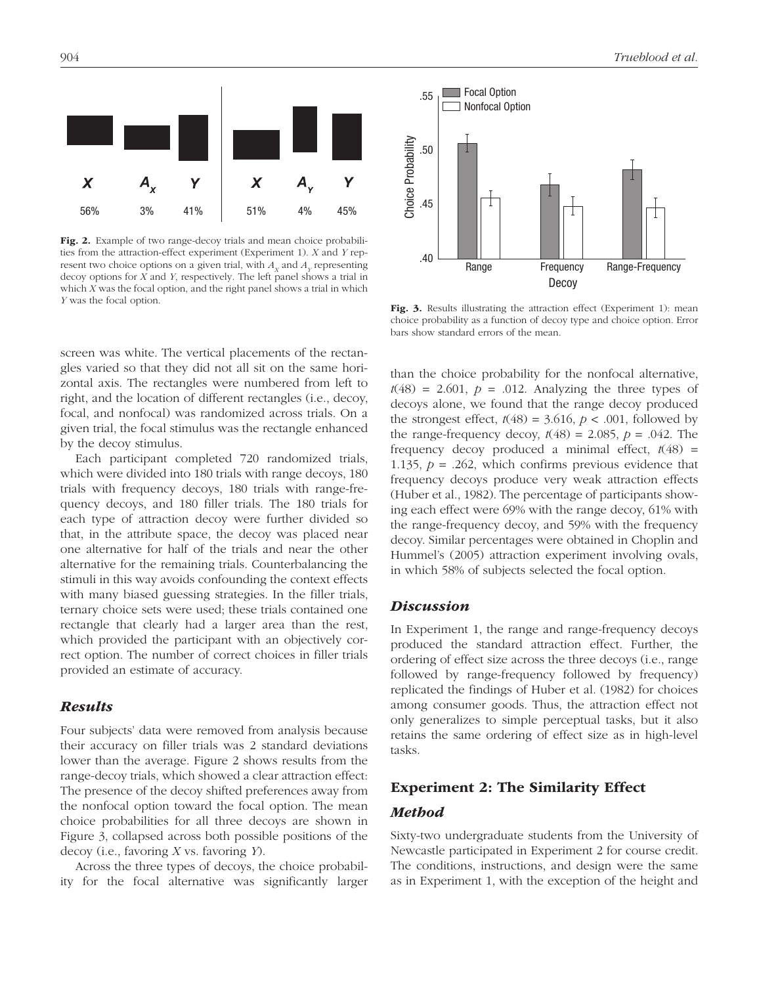X

Fig. 2. Example of two range-decoy trials and mean choice probabilities from the attraction-effect experiment (Experiment 1). *X* and *Y* represent two choice options on a given trial, with  $A_X$  and  $A_Y$  representing decoy options for  $X$  and  $Y$ , respectively. The left panel shows a trial in which *X* was the focal option, and the right panel shows a trial in which *Y* was the focal option.

56% 3% 41% 51% 4% 45%

screen was white. The vertical placements of the rectangles varied so that they did not all sit on the same horizontal axis. The rectangles were numbered from left to right, and the location of different rectangles (i.e., decoy, focal, and nonfocal) was randomized across trials. On a given trial, the focal stimulus was the rectangle enhanced by the decoy stimulus.

Each participant completed 720 randomized trials, which were divided into 180 trials with range decoys, 180 trials with frequency decoys, 180 trials with range-frequency decoys, and 180 filler trials. The 180 trials for each type of attraction decoy were further divided so that, in the attribute space, the decoy was placed near one alternative for half of the trials and near the other alternative for the remaining trials. Counterbalancing the stimuli in this way avoids confounding the context effects with many biased guessing strategies. In the filler trials, ternary choice sets were used; these trials contained one rectangle that clearly had a larger area than the rest, which provided the participant with an objectively correct option. The number of correct choices in filler trials provided an estimate of accuracy.

# *Results*

Four subjects' data were removed from analysis because their accuracy on filler trials was 2 standard deviations lower than the average. Figure 2 shows results from the range-decoy trials, which showed a clear attraction effect: The presence of the decoy shifted preferences away from the nonfocal option toward the focal option. The mean choice probabilities for all three decoys are shown in Figure 3, collapsed across both possible positions of the decoy (i.e., favoring *X* vs. favoring *Y*).

Across the three types of decoys, the choice probability for the focal alternative was significantly larger

904 *Trueblood et al.*



Fig. 3. Results illustrating the attraction effect (Experiment 1): mean choice probability as a function of decoy type and choice option. Error bars show standard errors of the mean.

than the choice probability for the nonfocal alternative,  $t(48) = 2.601$ ,  $p = .012$ . Analyzing the three types of decoys alone, we found that the range decoy produced the strongest effect,  $t(48) = 3.616$ ,  $p < .001$ , followed by the range-frequency decoy,  $t(48) = 2.085$ ,  $p = .042$ . The frequency decoy produced a minimal effect,  $t(48)$  = 1.135,  $p = 0.262$ , which confirms previous evidence that frequency decoys produce very weak attraction effects (Huber et al., 1982). The percentage of participants showing each effect were 69% with the range decoy, 61% with the range-frequency decoy, and 59% with the frequency decoy. Similar percentages were obtained in Choplin and Hummel's (2005) attraction experiment involving ovals, in which 58% of subjects selected the focal option.

#### *Discussion*

In Experiment 1, the range and range-frequency decoys produced the standard attraction effect. Further, the ordering of effect size across the three decoys (i.e., range followed by range-frequency followed by frequency) replicated the findings of Huber et al. (1982) for choices among consumer goods. Thus, the attraction effect not only generalizes to simple perceptual tasks, but it also retains the same ordering of effect size as in high-level tasks.

#### Experiment 2: The Similarity Effect

#### *Method*

Sixty-two undergraduate students from the University of Newcastle participated in Experiment 2 for course credit. The conditions, instructions, and design were the same as in Experiment 1, with the exception of the height and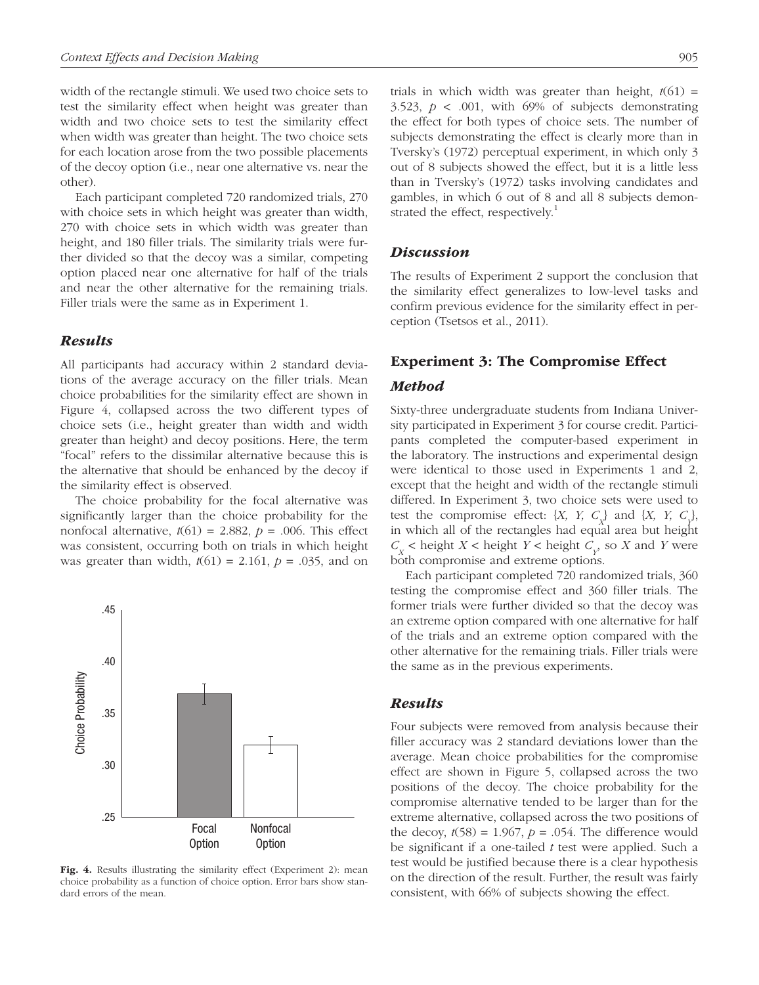width of the rectangle stimuli. We used two choice sets to test the similarity effect when height was greater than width and two choice sets to test the similarity effect when width was greater than height. The two choice sets for each location arose from the two possible placements of the decoy option (i.e., near one alternative vs. near the other).

Each participant completed 720 randomized trials, 270 with choice sets in which height was greater than width, 270 with choice sets in which width was greater than height, and 180 filler trials. The similarity trials were further divided so that the decoy was a similar, competing option placed near one alternative for half of the trials and near the other alternative for the remaining trials. Filler trials were the same as in Experiment 1.

### *Results*

All participants had accuracy within 2 standard deviations of the average accuracy on the filler trials. Mean choice probabilities for the similarity effect are shown in Figure 4, collapsed across the two different types of choice sets (i.e., height greater than width and width greater than height) and decoy positions. Here, the term "focal" refers to the dissimilar alternative because this is the alternative that should be enhanced by the decoy if the similarity effect is observed.

The choice probability for the focal alternative was significantly larger than the choice probability for the nonfocal alternative,  $t(61) = 2.882$ ,  $p = .006$ . This effect was consistent, occurring both on trials in which height was greater than width,  $t(61) = 2.161$ ,  $p = .035$ , and on



Fig. 4. Results illustrating the similarity effect (Experiment 2): mean choice probability as a function of choice option. Error bars show standard errors of the mean.

trials in which width was greater than height,  $t(61)$  = 3.523,  $p \lt 0.001$ , with 69% of subjects demonstrating the effect for both types of choice sets. The number of subjects demonstrating the effect is clearly more than in Tversky's (1972) perceptual experiment, in which only 3 out of 8 subjects showed the effect, but it is a little less than in Tversky's (1972) tasks involving candidates and gambles, in which 6 out of 8 and all 8 subjects demonstrated the effect, respectively.<sup>1</sup>

# *Discussion*

The results of Experiment 2 support the conclusion that the similarity effect generalizes to low-level tasks and confirm previous evidence for the similarity effect in perception (Tsetsos et al., 2011).

#### Experiment 3: The Compromise Effect

### *Method*

Sixty-three undergraduate students from Indiana University participated in Experiment 3 for course credit. Participants completed the computer-based experiment in the laboratory. The instructions and experimental design were identical to those used in Experiments 1 and 2, except that the height and width of the rectangle stimuli differed. In Experiment 3, two choice sets were used to test the compromise effect:  $\{X, Y, C_{X}\}$  and  $\{X, Y, C_{Y}\}$ , in which all of the rectangles had equal area but height  $C_X$  < height *X* < height *Y* < height  $C_Y$  so *X* and *Y* were both compromise and extreme options.

Each participant completed 720 randomized trials, 360 testing the compromise effect and 360 filler trials. The former trials were further divided so that the decoy was an extreme option compared with one alternative for half of the trials and an extreme option compared with the other alternative for the remaining trials. Filler trials were the same as in the previous experiments.

# *Results*

Four subjects were removed from analysis because their filler accuracy was 2 standard deviations lower than the average. Mean choice probabilities for the compromise effect are shown in Figure 5, collapsed across the two positions of the decoy. The choice probability for the compromise alternative tended to be larger than for the extreme alternative, collapsed across the two positions of the decoy,  $t(58) = 1.967$ ,  $p = .054$ . The difference would be significant if a one-tailed *t* test were applied. Such a test would be justified because there is a clear hypothesis on the direction of the result. Further, the result was fairly consistent, with 66% of subjects showing the effect.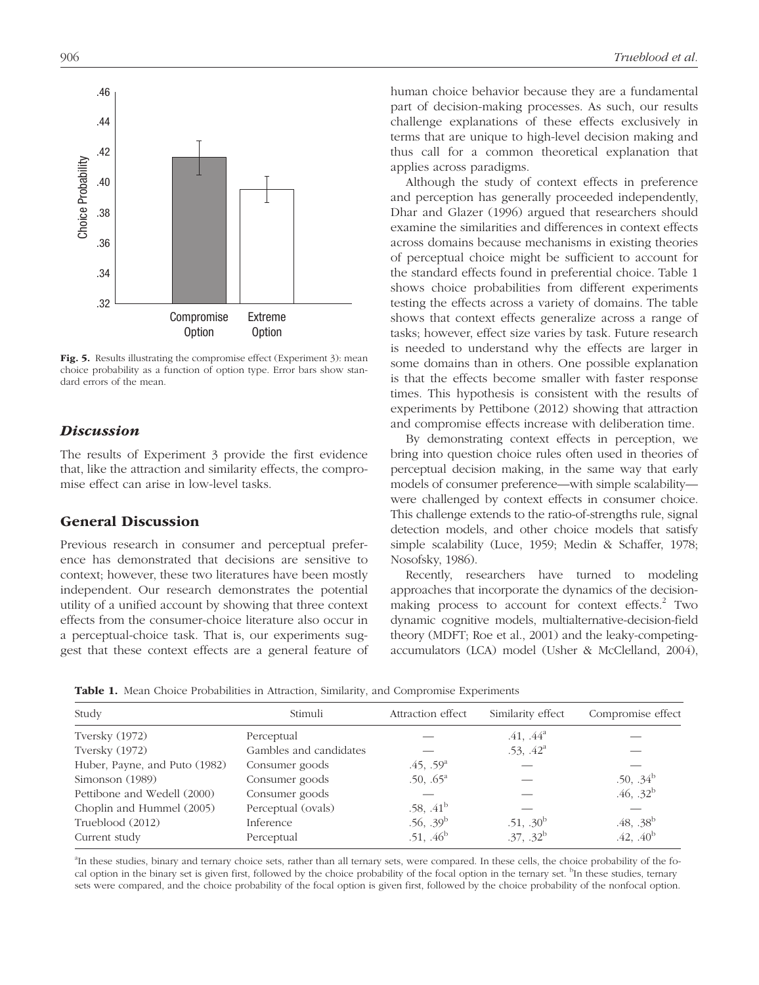

Fig. 5. Results illustrating the compromise effect (Experiment 3): mean choice probability as a function of option type. Error bars show standard errors of the mean.

# *Discussion*

The results of Experiment 3 provide the first evidence that, like the attraction and similarity effects, the compromise effect can arise in low-level tasks.

# General Discussion

Previous research in consumer and perceptual preference has demonstrated that decisions are sensitive to context; however, these two literatures have been mostly independent. Our research demonstrates the potential utility of a unified account by showing that three context effects from the consumer-choice literature also occur in a perceptual-choice task. That is, our experiments suggest that these context effects are a general feature of human choice behavior because they are a fundamental part of decision-making processes. As such, our results challenge explanations of these effects exclusively in terms that are unique to high-level decision making and thus call for a common theoretical explanation that applies across paradigms.

Although the study of context effects in preference and perception has generally proceeded independently, Dhar and Glazer (1996) argued that researchers should examine the similarities and differences in context effects across domains because mechanisms in existing theories of perceptual choice might be sufficient to account for the standard effects found in preferential choice. Table 1 shows choice probabilities from different experiments testing the effects across a variety of domains. The table shows that context effects generalize across a range of tasks; however, effect size varies by task. Future research is needed to understand why the effects are larger in some domains than in others. One possible explanation is that the effects become smaller with faster response times. This hypothesis is consistent with the results of experiments by Pettibone (2012) showing that attraction and compromise effects increase with deliberation time.

By demonstrating context effects in perception, we bring into question choice rules often used in theories of perceptual decision making, in the same way that early models of consumer preference—with simple scalability were challenged by context effects in consumer choice. This challenge extends to the ratio-of-strengths rule, signal detection models, and other choice models that satisfy simple scalability (Luce, 1959; Medin & Schaffer, 1978; Nosofsky, 1986).

Recently, researchers have turned to modeling approaches that incorporate the dynamics of the decisionmaking process to account for context effects.<sup>2</sup> Two dynamic cognitive models, multialternative-decision-field theory (MDFT; Roe et al., 2001) and the leaky-competingaccumulators (LCA) model (Usher & McClelland, 2004),

Table 1. Mean Choice Probabilities in Attraction, Similarity, and Compromise Experiments

| Study                         | Stimuli                | Attraction effect     | Similarity effect     | Compromise effect     |
|-------------------------------|------------------------|-----------------------|-----------------------|-----------------------|
| <b>Tversky</b> (1972)         | Perceptual             |                       | $.41, .44^a$          |                       |
| <b>Tversky</b> (1972)         | Gambles and candidates |                       | .53, .42 <sup>a</sup> |                       |
| Huber, Payne, and Puto (1982) | Consumer goods         | .45, .59 <sup>a</sup> |                       |                       |
| Simonson $(1989)$             | Consumer goods         | $.50, .65^a$          |                       | $.50, .34^b$          |
| Pettibone and Wedell (2000)   | Consumer goods         |                       |                       | $.46, .32^b$          |
| Choplin and Hummel (2005)     | Perceptual (ovals)     | .58, $.41^{\rm b}$    |                       |                       |
| Trueblood (2012)              | Inference              | $.56, .39^b$          | $.51, .30^b$          | $.48, .38^b$          |
| Current study                 | Perceptual             | $.51, .46^b$          | $.37, .32^b$          | .42, .40 <sup>b</sup> |

<sup>a</sup>In these studies, binary and ternary choice sets, rather than all ternary sets, were compared. In these cells, the choice probability of the focal option in the binary set is given first, followed by the choice probability of the focal option in the ternary set. <sup>b</sup>In these studies, ternary sets were compared, and the choice probability of the focal option is given first, followed by the choice probability of the nonfocal option.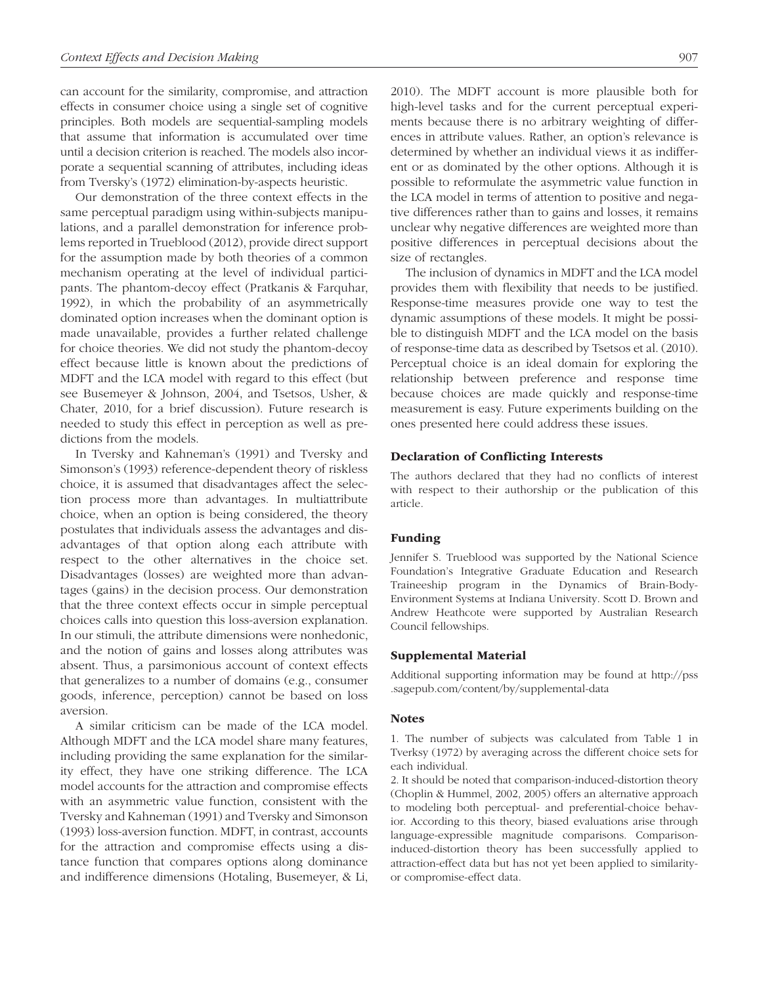can account for the similarity, compromise, and attraction effects in consumer choice using a single set of cognitive principles. Both models are sequential-sampling models that assume that information is accumulated over time until a decision criterion is reached. The models also incorporate a sequential scanning of attributes, including ideas from Tversky's (1972) elimination-by-aspects heuristic.

Our demonstration of the three context effects in the same perceptual paradigm using within-subjects manipulations, and a parallel demonstration for inference problems reported in Trueblood (2012), provide direct support for the assumption made by both theories of a common mechanism operating at the level of individual participants. The phantom-decoy effect (Pratkanis & Farquhar, 1992), in which the probability of an asymmetrically dominated option increases when the dominant option is made unavailable, provides a further related challenge for choice theories. We did not study the phantom-decoy effect because little is known about the predictions of MDFT and the LCA model with regard to this effect (but see Busemeyer & Johnson, 2004, and Tsetsos, Usher, & Chater, 2010, for a brief discussion). Future research is needed to study this effect in perception as well as predictions from the models.

In Tversky and Kahneman's (1991) and Tversky and Simonson's (1993) reference-dependent theory of riskless choice, it is assumed that disadvantages affect the selection process more than advantages. In multiattribute choice, when an option is being considered, the theory postulates that individuals assess the advantages and disadvantages of that option along each attribute with respect to the other alternatives in the choice set. Disadvantages (losses) are weighted more than advantages (gains) in the decision process. Our demonstration that the three context effects occur in simple perceptual choices calls into question this loss-aversion explanation. In our stimuli, the attribute dimensions were nonhedonic, and the notion of gains and losses along attributes was absent. Thus, a parsimonious account of context effects that generalizes to a number of domains (e.g., consumer goods, inference, perception) cannot be based on loss aversion.

A similar criticism can be made of the LCA model. Although MDFT and the LCA model share many features, including providing the same explanation for the similarity effect, they have one striking difference. The LCA model accounts for the attraction and compromise effects with an asymmetric value function, consistent with the Tversky and Kahneman (1991) and Tversky and Simonson (1993) loss-aversion function. MDFT, in contrast, accounts for the attraction and compromise effects using a distance function that compares options along dominance and indifference dimensions (Hotaling, Busemeyer, & Li,

2010). The MDFT account is more plausible both for high-level tasks and for the current perceptual experiments because there is no arbitrary weighting of differences in attribute values. Rather, an option's relevance is determined by whether an individual views it as indifferent or as dominated by the other options. Although it is possible to reformulate the asymmetric value function in the LCA model in terms of attention to positive and negative differences rather than to gains and losses, it remains unclear why negative differences are weighted more than positive differences in perceptual decisions about the size of rectangles.

The inclusion of dynamics in MDFT and the LCA model provides them with flexibility that needs to be justified. Response-time measures provide one way to test the dynamic assumptions of these models. It might be possible to distinguish MDFT and the LCA model on the basis of response-time data as described by Tsetsos et al. (2010). Perceptual choice is an ideal domain for exploring the relationship between preference and response time because choices are made quickly and response-time measurement is easy. Future experiments building on the ones presented here could address these issues.

#### Declaration of Conflicting Interests

The authors declared that they had no conflicts of interest with respect to their authorship or the publication of this article.

#### Funding

Jennifer S. Trueblood was supported by the National Science Foundation's Integrative Graduate Education and Research Traineeship program in the Dynamics of Brain-Body-Environment Systems at Indiana University. Scott D. Brown and Andrew Heathcote were supported by Australian Research Council fellowships.

#### Supplemental Material

Additional supporting information may be found at http://pss .sagepub.com/content/by/supplemental-data

#### **Notes**

1. The number of subjects was calculated from Table 1 in Tverksy (1972) by averaging across the different choice sets for each individual.

2. It should be noted that comparison-induced-distortion theory (Choplin & Hummel, 2002, 2005) offers an alternative approach to modeling both perceptual- and preferential-choice behavior. According to this theory, biased evaluations arise through language-expressible magnitude comparisons. Comparisoninduced-distortion theory has been successfully applied to attraction-effect data but has not yet been applied to similarityor compromise-effect data.